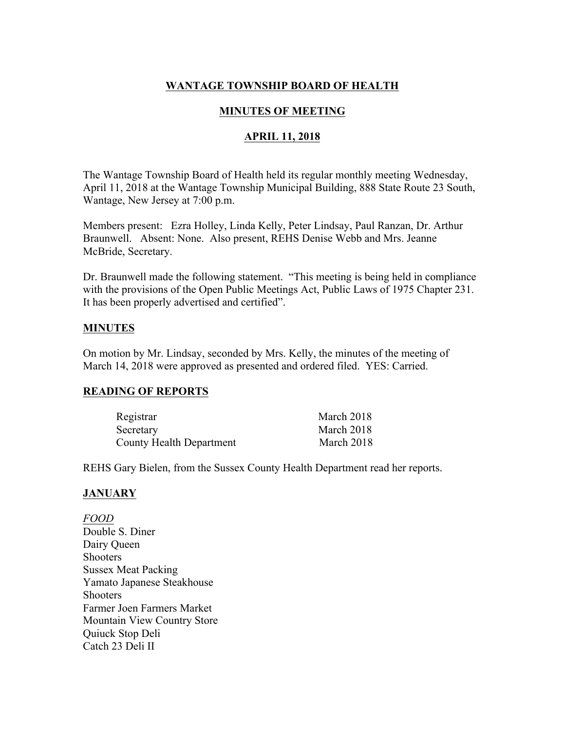# **WANTAGE TOWNSHIP BOARD OF HEALTH**

## **MINUTES OF MEETING**

### **APRIL 11, 2018**

The Wantage Township Board of Health held its regular monthly meeting Wednesday, April 11, 2018 at the Wantage Township Municipal Building, 888 State Route 23 South, Wantage, New Jersey at 7:00 p.m.

Members present: Ezra Holley, Linda Kelly, Peter Lindsay, Paul Ranzan, Dr. Arthur Braunwell. Absent: None. Also present, REHS Denise Webb and Mrs. Jeanne McBride, Secretary.

Dr. Braunwell made the following statement. "This meeting is being held in compliance with the provisions of the Open Public Meetings Act, Public Laws of 1975 Chapter 231. It has been properly advertised and certified".

### **MINUTES**

On motion by Mr. Lindsay, seconded by Mrs. Kelly, the minutes of the meeting of March 14, 2018 were approved as presented and ordered filed. YES: Carried.

#### **READING OF REPORTS**

| Registrar                       | March 2018 |
|---------------------------------|------------|
| Secretary                       | March 2018 |
| <b>County Health Department</b> | March 2018 |

REHS Gary Bielen, from the Sussex County Health Department read her reports.

#### **JANUARY**

*FOOD* Double S. Diner Dairy Queen **Shooters** Sussex Meat Packing Yamato Japanese Steakhouse **Shooters** Farmer Joen Farmers Market Mountain View Country Store Quiuck Stop Deli Catch 23 Deli II